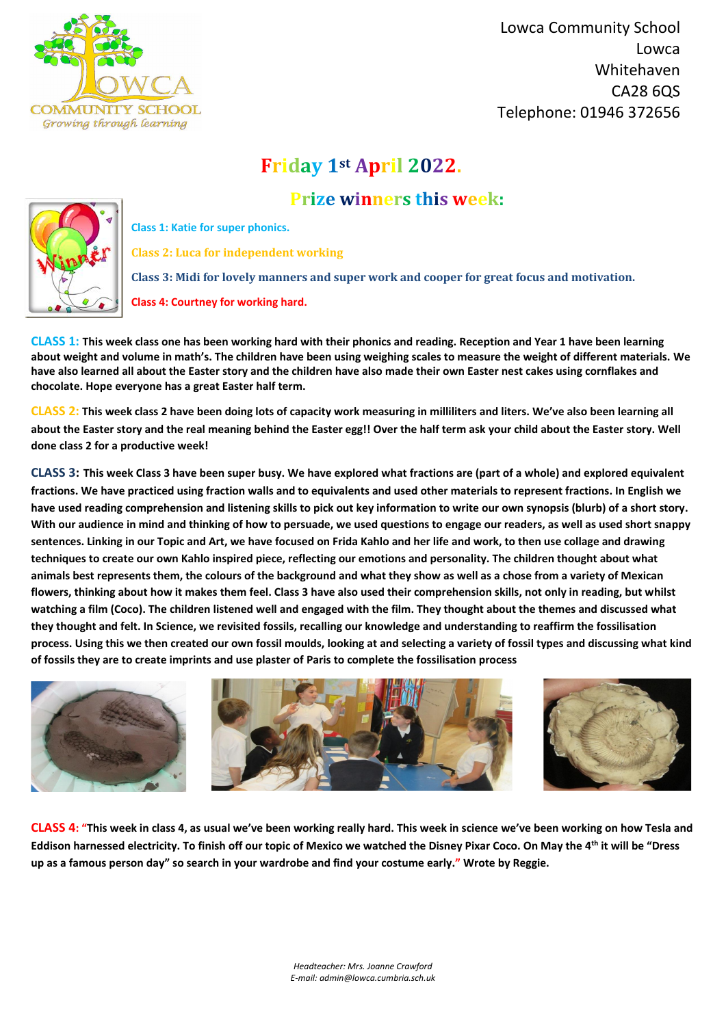

 Lowca Community School Lowca Whitehaven CA28 6QS Telephone: 01946 372656

*Headteacher: Mrs. Joanne Crawford E-mail: admin@lowca.cumbria.sch.uk*

## **Friday 1st April 2022.**

## **Prize winners this week:**



**Class 1: Katie for super phonics.**

**Class 2: Luca for independent working**

**Class 3: Midi for lovely manners and super work and cooper for great focus and motivation.**

**Class 4: Courtney for working hard.**

**CLASS 1: This week class one has been working hard with their phonics and reading. Reception and Year 1 have been learning about weight and volume in math's. The children have been using weighing scales to measure the weight of different materials. We have also learned all about the Easter story and the children have also made their own Easter nest cakes using cornflakes and chocolate. Hope everyone has a great Easter half term.**

**CLASS 2: This week class 2 have been doing lots of capacity work measuring in milliliters and liters. We've also been learning all about the Easter story and the real meaning behind the Easter egg!! Over the half term ask your child about the Easter story. Well done class 2 for a productive week!**

**CLASS 3: This week Class 3 have been super busy. We have explored what fractions are (part of a whole) and explored equivalent fractions. We have practiced using fraction walls and to equivalents and used other materials to represent fractions. In English we have used reading comprehension and listening skills to pick out key information to write our own synopsis (blurb) of a short story. With our audience in mind and thinking of how to persuade, we used questions to engage our readers, as well as used short snappy sentences. Linking in our Topic and Art, we have focused on Frida Kahlo and her life and work, to then use collage and drawing techniques to create our own Kahlo inspired piece, reflecting our emotions and personality. The children thought about what animals best represents them, the colours of the background and what they show as well as a chose from a variety of Mexican flowers, thinking about how it makes them feel. Class 3 have also used their comprehension skills, not only in reading, but whilst watching a film (Coco). The children listened well and engaged with the film. They thought about the themes and discussed what they thought and felt. In Science, we revisited fossils, recalling our knowledge and understanding to reaffirm the fossilisation process. Using this we then created our own fossil moulds, looking at and selecting a variety of fossil types and discussing what kind of fossils they are to create imprints and use plaster of Paris to complete the fossilisation process**







**CLASS 4: "This week in class 4, as usual we've been working really hard. This week in science we've been working on how Tesla and Eddison harnessed electricity. To finish off our topic of Mexico we watched the Disney Pixar Coco. On May the 4th it will be "Dress up as a famous person day" so search in your wardrobe and find your costume early." Wrote by Reggie.**